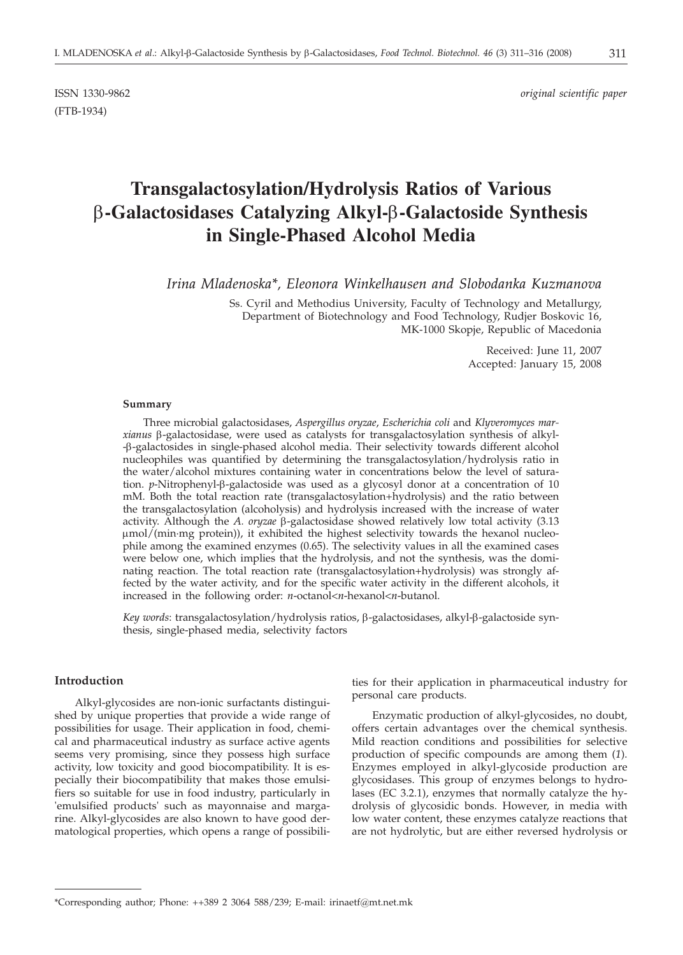(FTB-1934)

# **Transgalactosylation/Hydrolysis Ratios of Various b-Galactosidases Catalyzing Alkyl-b-Galactoside Synthesis in Single-Phased Alcohol Media**

*Irina Mladenoska\*, Eleonora Winkelhausen and Slobodanka Kuzmanova*

Ss. Cyril and Methodius University, Faculty of Technology and Metallurgy, Department of Biotechnology and Food Technology, Rudjer Boskovic 16, MK-1000 Skopje, Republic of Macedonia

> Received: June 11, 2007 Accepted: January 15, 2008

#### **Summary**

Three microbial galactosidases, *Aspergillus oryzae*, *Escherichia coli* and *Klyveromyces marxianus* b-galactosidase, were used as catalysts for transgalactosylation synthesis of alkyl- -b-galactosides in single-phased alcohol media. Their selectivity towards different alcohol nucleophiles was quantified by determining the transgalactosylation/hydrolysis ratio in the water/alcohol mixtures containing water in concentrations below the level of saturation. *p*-Nitrophenyl-β-galactoside was used as a glycosyl donor at a concentration of 10 mM. Both the total reaction rate (transgalactosylation+hydrolysis) and the ratio between the transgalactosylation (alcoholysis) and hydrolysis increased with the increase of water activity. Although the *A. oryzae*  $\beta$ -galactosidase showed relatively low total activity (3.13) mmol/(min·mg protein)), it exhibited the highest selectivity towards the hexanol nucleophile among the examined enzymes (0.65). The selectivity values in all the examined cases were below one, which implies that the hydrolysis, and not the synthesis, was the dominating reaction. The total reaction rate (transgalactosylation+hydrolysis) was strongly affected by the water activity, and for the specific water activity in the different alcohols, it increased in the following order: *n*-octanol<*n*-hexanol<*n*-butanol.

Key words: transgalactosylation/hydrolysis ratios, β-galactosidases, alkyl-β-galactoside synthesis, single-phased media, selectivity factors

### **Introduction**

Alkyl-glycosides are non-ionic surfactants distinguished by unique properties that provide a wide range of possibilities for usage. Their application in food, chemical and pharmaceutical industry as surface active agents seems very promising, since they possess high surface activity, low toxicity and good biocompatibility. It is especially their biocompatibility that makes those emulsifiers so suitable for use in food industry, particularly in 'emulsified products' such as mayonnaise and margarine. Alkyl-glycosides are also known to have good dermatological properties, which opens a range of possibili-

ties for their application in pharmaceutical industry for personal care products.

Enzymatic production of alkyl-glycosides, no doubt, offers certain advantages over the chemical synthesis. Mild reaction conditions and possibilities for selective production of specific compounds are among them (*1*). Enzymes employed in alkyl-glycoside production are glycosidases. This group of enzymes belongs to hydrolases (EC 3.2.1), enzymes that normally catalyze the hydrolysis of glycosidic bonds. However, in media with low water content, these enzymes catalyze reactions that are not hydrolytic, but are either reversed hydrolysis or

<sup>\*</sup>Corresponding author; Phone: ++389 2 3064 588/239; E-mail: irinaetf@mt.net.mk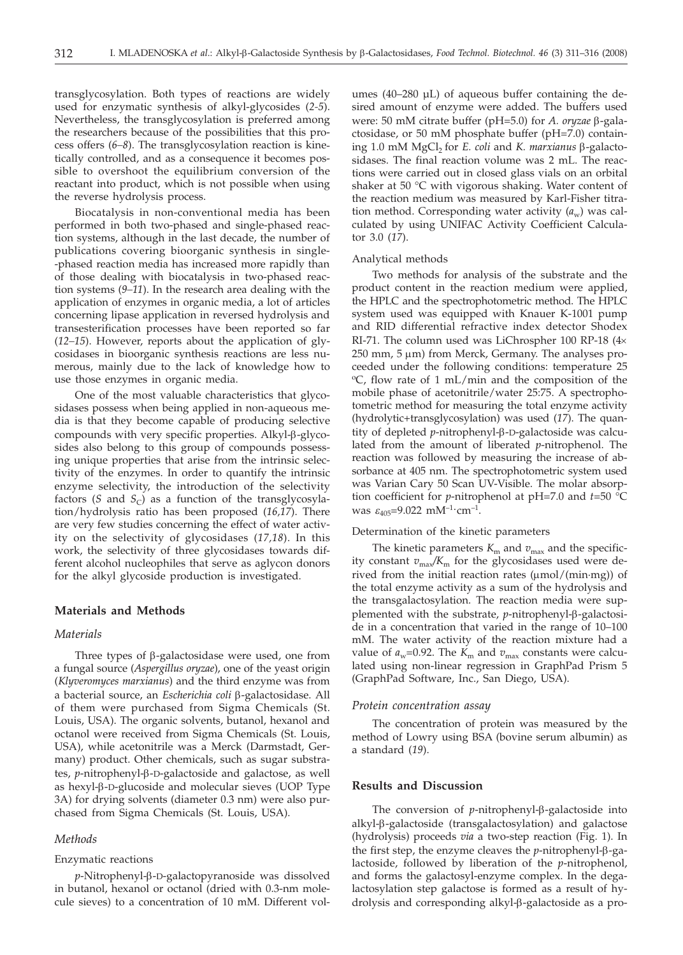transglycosylation. Both types of reactions are widely used for enzymatic synthesis of alkyl-glycosides (*2-5*). Nevertheless, the transglycosylation is preferred among the researchers because of the possibilities that this process offers (*6–8*). The transglycosylation reaction is kinetically controlled, and as a consequence it becomes possible to overshoot the equilibrium conversion of the reactant into product, which is not possible when using the reverse hydrolysis process.

Biocatalysis in non-conventional media has been performed in both two-phased and single-phased reaction systems, although in the last decade, the number of publications covering bioorganic synthesis in single- -phased reaction media has increased more rapidly than of those dealing with biocatalysis in two-phased reaction systems (*9–11*). In the research area dealing with the application of enzymes in organic media, a lot of articles concerning lipase application in reversed hydrolysis and transesterification processes have been reported so far (*12–15*). However, reports about the application of glycosidases in bioorganic synthesis reactions are less numerous, mainly due to the lack of knowledge how to use those enzymes in organic media.

One of the most valuable characteristics that glycosidases possess when being applied in non-aqueous media is that they become capable of producing selective compounds with very specific properties. Alkyl- $\beta$ -glycosides also belong to this group of compounds possessing unique properties that arise from the intrinsic selectivity of the enzymes. In order to quantify the intrinsic enzyme selectivity, the introduction of the selectivity factors ( $S$  and  $S_C$ ) as a function of the transglycosylation/hydrolysis ratio has been proposed (*16,17*). There are very few studies concerning the effect of water activity on the selectivity of glycosidases (*17,18*). In this work, the selectivity of three glycosidases towards different alcohol nucleophiles that serve as aglycon donors for the alkyl glycoside production is investigated.

# **Materials and Methods**

## *Materials*

Three types of  $\beta$ -galactosidase were used, one from a fungal source (*Aspergillus oryzae*), one of the yeast origin (*Klyveromyces marxianus*) and the third enzyme was from a bacterial source, an *Escherichia coli* b-galactosidase. All of them were purchased from Sigma Chemicals (St. Louis, USA). The organic solvents, butanol, hexanol and octanol were received from Sigma Chemicals (St. Louis, USA), while acetonitrile was a Merck (Darmstadt, Germany) product. Other chemicals, such as sugar substrates, *p*-nitrophenyl-β-D-galactoside and galactose, as well as hexyl- $\beta$ -D-glucoside and molecular sieves (UOP Type 3A) for drying solvents (diameter 0.3 nm) were also purchased from Sigma Chemicals (St. Louis, USA).

# *Methods*

## Enzymatic reactions

*p*-Nitrophenyl-β-D-galactopyranoside was dissolved in butanol, hexanol or octanol (dried with 0.3-nm molecule sieves) to a concentration of 10 mM. Different vol-

umes (40–280 µL) of aqueous buffer containing the desired amount of enzyme were added. The buffers used were: 50 mM citrate buffer (pH=5.0) for *A. oryzae* β-galactosidase, or 50 mM phosphate buffer (pH=7.0) containing 1.0 mM MgCl<sub>2</sub> for *E. coli* and *K. marxianus* β-galactosidases. The final reaction volume was 2 mL. The reactions were carried out in closed glass vials on an orbital shaker at 50 °C with vigorous shaking. Water content of the reaction medium was measured by Karl-Fisher titration method. Corresponding water activity  $(a_w)$  was calculated by using UNIFAC Activity Coefficient Calculator 3.0 (*17*).

#### Analytical methods

Two methods for analysis of the substrate and the product content in the reaction medium were applied, the HPLC and the spectrophotometric method. The HPLC system used was equipped with Knauer K-1001 pump and RID differential refractive index detector Shodex RI-71. The column used was LiChrospher 100 RP-18  $(4 \times$  $250$  mm,  $5 \mu$ m) from Merck, Germany. The analyses proceeded under the following conditions: temperature 25 oC, flow rate of 1 mL/min and the composition of the mobile phase of acetonitrile/water 25:75. A spectrophotometric method for measuring the total enzyme activity (hydrolytic+transglycosylation) was used (*17*). The quantity of depleted *p*-nitrophenyl-β-D-galactoside was calculated from the amount of liberated *p*-nitrophenol. The reaction was followed by measuring the increase of absorbance at 405 nm. The spectrophotometric system used was Varian Cary 50 Scan UV-Visible. The molar absorption coefficient for *p*-nitrophenol at pH=7.0 and *t*=50 °C was  $\varepsilon_{405} = 9.022$  mM<sup>-1</sup>·cm<sup>-1</sup>.

## Determination of the kinetic parameters

The kinetic parameters  $K<sub>m</sub>$  and  $v<sub>max</sub>$  and the specificity constant  $v_{\text{max}}/K_{\text{m}}$  for the glycosidases used were derived from the initial reaction rates  $(\mu \text{mol}/(\text{min}\cdot \text{mg}))$  of the total enzyme activity as a sum of the hydrolysis and the transgalactosylation. The reaction media were supplemented with the substrate, *p*-nitrophenyl-β-galactoside in a concentration that varied in the range of 10–100 mM. The water activity of the reaction mixture had a value of  $a_w$ =0.92. The  $K_m$  and  $v_{max}$  constants were calculated using non-linear regression in GraphPad Prism 5 (GraphPad Software, Inc., San Diego, USA).

#### *Protein concentration assay*

The concentration of protein was measured by the method of Lowry using BSA (bovine serum albumin) as a standard (*19*).

#### **Results and Discussion**

The conversion of  $p$ -nitrophenyl- $\beta$ -galactoside into alkyl-b-galactoside (transgalactosylation) and galactose (hydrolysis) proceeds *via* a two-step reaction (Fig. 1). In the first step, the enzyme cleaves the *p*-nitrophenyl-β-galactoside, followed by liberation of the *p*-nitrophenol, and forms the galactosyl-enzyme complex. In the degalactosylation step galactose is formed as a result of hydrolysis and corresponding alkyl-β-galactoside as a pro-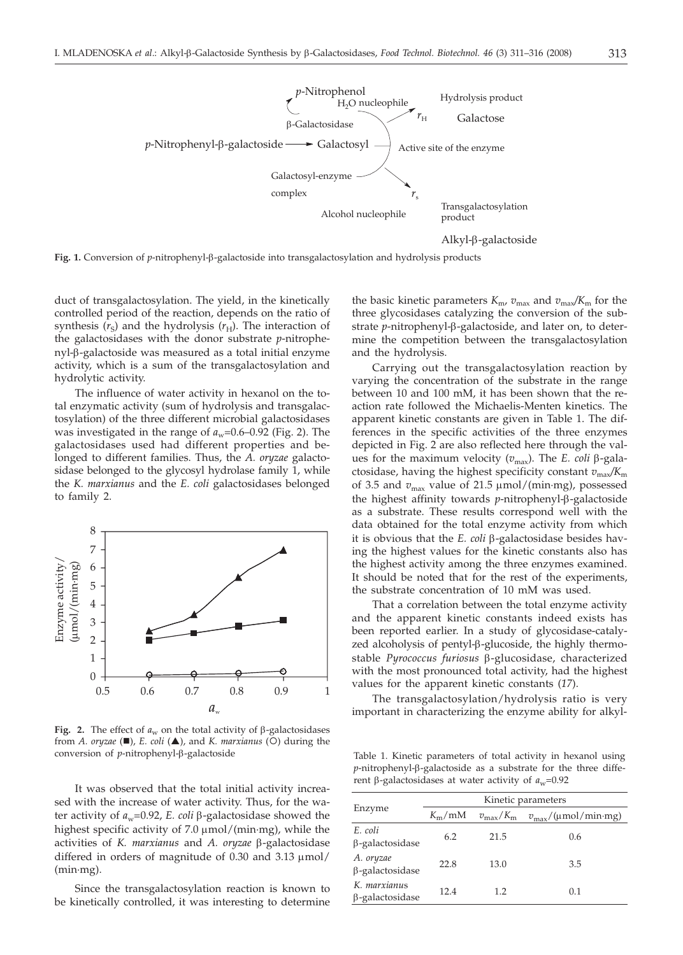

Fig. 1. Conversion of *p*-nitrophenyl- $\beta$ -galactoside into transgalactosylation and hydrolysis products

duct of transgalactosylation. The yield, in the kinetically controlled period of the reaction, depends on the ratio of synthesis  $(r_S)$  and the hydrolysis  $(r_H)$ . The interaction of the galactosidases with the donor substrate *p*-nitrophenyl-b-galactoside was measured as a total initial enzyme activity, which is a sum of the transgalactosylation and hydrolytic activity.

The influence of water activity in hexanol on the total enzymatic activity (sum of hydrolysis and transgalactosylation) of the three different microbial galactosidases was investigated in the range of  $a_w$ =0.6–0.92 (Fig. 2). The galactosidases used had different properties and belonged to different families. Thus, the *A. oryzae* galactosidase belonged to the glycosyl hydrolase family 1, while the *K. marxianus* and the *E. coli* galactosidases belonged to family 2.



Fig. 2. The effect of  $a_w$  on the total activity of  $\beta$ -galactosidases from *A. oryzae* ( $\blacksquare$ ), *E. coli* ( $\blacktriangle$ ), and *K. marxianus* ( $\odot$ ) during the conversion of *p*-nitrophenyl- $\beta$ -galactoside Table 1. Kinetic parameters of total activity in hexanol using

It was observed that the total initial activity increased with the increase of water activity. Thus, for the water activity of  $a_w$ =0.92, *E. coli*  $\beta$ -galactosidase showed the highest specific activity of  $7.0 \mu$ mol/(min·mg), while the activities of *K. marxianus* and *A. oryzae* b-galactosidase differed in orders of magnitude of  $0.30$  and  $3.13 \mu$ mol/ (min·mg).

Since the transgalactosylation reaction is known to be kinetically controlled, it was interesting to determine

the basic kinetic parameters  $K_{\text{m}}$ ,  $v_{\text{max}}$  and  $v_{\text{max}}/K_{\text{m}}$  for the three glycosidases catalyzing the conversion of the substrate *p*-nitrophenyl-b-galactoside, and later on, to determine the competition between the transgalactosylation and the hydrolysis.

Carrying out the transgalactosylation reaction by varying the concentration of the substrate in the range between 10 and 100 mM, it has been shown that the reaction rate followed the Michaelis-Menten kinetics. The apparent kinetic constants are given in Table 1. The differences in the specific activities of the three enzymes depicted in Fig. 2 are also reflected here through the values for the maximum velocity  $(v_{\text{max}})$ . The *E. coli*  $\beta$ -galactosidase, having the highest specificity constant  $v_{\text{max}}/K_{\text{m}}$ of 3.5 and  $v_{\text{max}}$  value of 21.5  $\mu$ mol/(min·mg), possessed the highest affinity towards *p*-nitrophenyl-β-galactoside as a substrate. These results correspond well with the data obtained for the total enzyme activity from which it is obvious that the *E. coli*  $\beta$ -galactosidase besides having the highest values for the kinetic constants also has the highest activity among the three enzymes examined. It should be noted that for the rest of the experiments, the substrate concentration of 10 mM was used.

That a correlation between the total enzyme activity and the apparent kinetic constants indeed exists has been reported earlier. In a study of glycosidase-catalyzed alcoholysis of pentyl- $\beta$ -glucoside, the highly thermostable *Pyrococcus furiosus* b-glucosidase, characterized with the most pronounced total activity, had the highest values for the apparent kinetic constants (*17*).

The transgalactosylation/hydrolysis ratio is very important in characterizing the enzyme ability for alkyl-

 $p$ -nitrophenyl- $\beta$ -galactoside as a substrate for the three different  $\beta$ -galactosidases at water activity of  $a_w$ =0.92

| Enzyme                                 | Kinetic parameters  |                         |                                                       |  |
|----------------------------------------|---------------------|-------------------------|-------------------------------------------------------|--|
|                                        | $K_{\rm m}/\rm{mM}$ | $v_{\rm max}/K_{\rm m}$ | $v_{\text{max}}/(\mu \text{mol/min} \cdot \text{mg})$ |  |
| E. coli<br>$\beta$ -galactosidase      | 6.2                 | 21.5                    | 0.6                                                   |  |
| A. oryzae<br>$\beta$ -galactosidase    | 22.8                | 13.0                    | 3.5                                                   |  |
| K. marxianus<br>$\beta$ -galactosidase | 12.4                | 1.2                     | 0.1                                                   |  |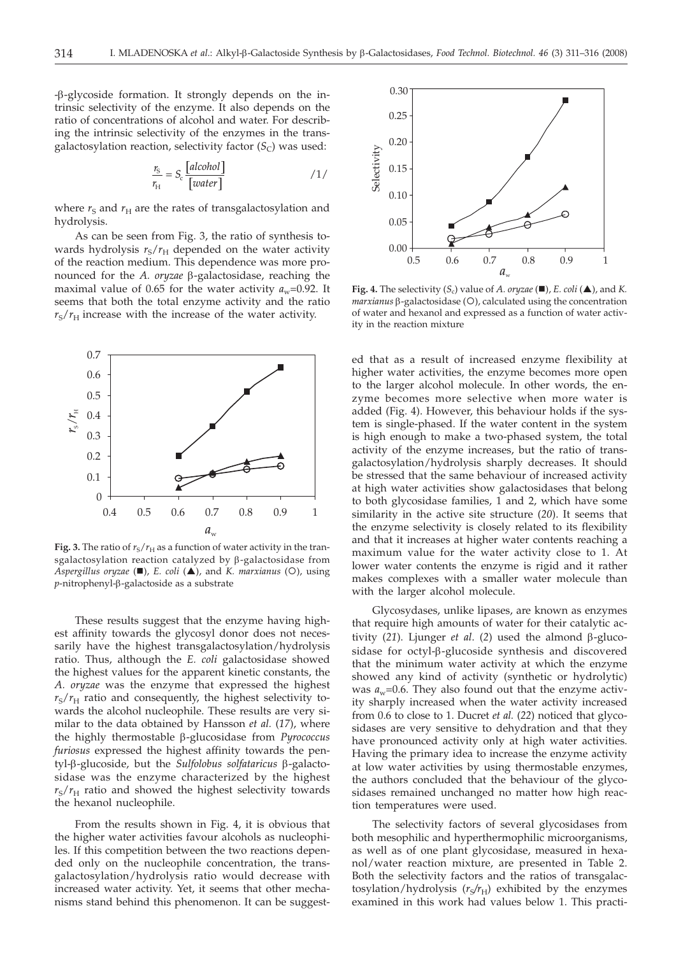-b-glycoside formation. It strongly depends on the intrinsic selectivity of the enzyme. It also depends on the ratio of concentrations of alcohol and water. For describing the intrinsic selectivity of the enzymes in the transgalactosylation reaction, selectivity factor  $(S_C)$  was used:

$$
\frac{r_{\rm S}}{r_{\rm H}} = S_{\rm c} \frac{[alcohol]}{[water]}
$$
 / 1/

where  $r<sub>S</sub>$  and  $r<sub>H</sub>$  are the rates of transgalactosylation and hydrolysis.

As can be seen from Fig. 3, the ratio of synthesis towards hydrolysis  $r_S/r_H$  depended on the water activity of the reaction medium. This dependence was more pronounced for the *A. oryzae* b-galactosidase, reaching the maximal value of 0.65 for the water activity  $a_w$ =0.92. It seems that both the total enzyme activity and the ratio  $r_{\rm S}/r_{\rm H}$  increase with the increase of the water activity.



**Fig. 3.** The ratio of  $r_S/r_H$  as a function of water activity in the transgalactosylation reaction catalyzed by b-galactosidase from *Aspergillus oryzae* ( $\blacksquare$ ), *E. coli* ( $\blacktriangle$ ), and *K. marxianus* (O), using *p*-nitrophenyl-β-galactoside as a substrate

These results suggest that the enzyme having highest affinity towards the glycosyl donor does not necessarily have the highest transgalactosylation/hydrolysis ratio. Thus, although the *E. coli* galactosidase showed the highest values for the apparent kinetic constants, the *A. oryzae* was the enzyme that expressed the highest  $r_S/r_H$  ratio and consequently, the highest selectivity towards the alcohol nucleophile. These results are very similar to the data obtained by Hansson *et al.* (*17*), where the highly thermostable b-glucosidase from *Pyrococcus furiosus* expressed the highest affinity towards the pentyl-β-glucoside, but the *Sulfolobus solfataricus* β-galactosidase was the enzyme characterized by the highest  $r_S/r_H$  ratio and showed the highest selectivity towards the hexanol nucleophile.

From the results shown in Fig. 4, it is obvious that the higher water activities favour alcohols as nucleophiles. If this competition between the two reactions depended only on the nucleophile concentration, the transgalactosylation/hydrolysis ratio would decrease with increased water activity. Yet, it seems that other mechanisms stand behind this phenomenon. It can be suggest-



**Fig. 4.** The selectivity  $(S_c)$  value of *A. oryzae* ( $\blacksquare$ ), *E. coli* ( $\blacktriangle$ ), and *K. marxianus* β-galactosidase (O), calculated using the concentration of water and hexanol and expressed as a function of water activity in the reaction mixture

ed that as a result of increased enzyme flexibility at higher water activities, the enzyme becomes more open to the larger alcohol molecule. In other words, the enzyme becomes more selective when more water is added (Fig. 4). However, this behaviour holds if the system is single-phased. If the water content in the system is high enough to make a two-phased system, the total activity of the enzyme increases, but the ratio of transgalactosylation/hydrolysis sharply decreases. It should be stressed that the same behaviour of increased activity at high water activities show galactosidases that belong to both glycosidase families, 1 and 2, which have some similarity in the active site structure (*20*). It seems that the enzyme selectivity is closely related to its flexibility and that it increases at higher water contents reaching a maximum value for the water activity close to 1. At lower water contents the enzyme is rigid and it rather makes complexes with a smaller water molecule than with the larger alcohol molecule.

Glycosydases, unlike lipases, are known as enzymes that require high amounts of water for their catalytic activity (21). Ljunger *et al.* (2) used the almond  $\beta$ -glucosidase for octyl- $\beta$ -glucoside synthesis and discovered that the minimum water activity at which the enzyme showed any kind of activity (synthetic or hydrolytic) was  $a_w$ =0.6. They also found out that the enzyme activity sharply increased when the water activity increased from 0.6 to close to 1. Ducret *et al.* (*22*) noticed that glycosidases are very sensitive to dehydration and that they have pronounced activity only at high water activities. Having the primary idea to increase the enzyme activity at low water activities by using thermostable enzymes, the authors concluded that the behaviour of the glycosidases remained unchanged no matter how high reaction temperatures were used.

The selectivity factors of several glycosidases from both mesophilic and hyperthermophilic microorganisms, as well as of one plant glycosidase, measured in hexanol/water reaction mixture, are presented in Table 2. Both the selectivity factors and the ratios of transgalactosylation/hydrolysis  $(r_S/r_H)$  exhibited by the enzymes examined in this work had values below 1. This practi-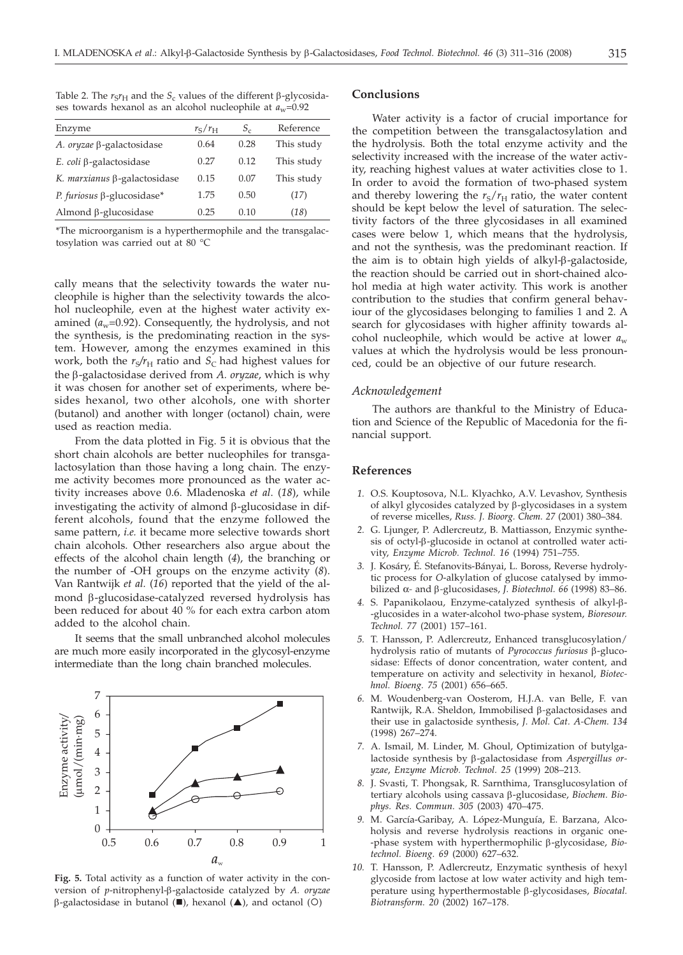| Enzyme                            | $r_{\rm S}/r_{\rm H}$ | $S_c$ | Reference  |
|-----------------------------------|-----------------------|-------|------------|
| A. oryzae ß-galactosidase         | 0.64                  | 0.28  | This study |
| E. coli $\beta$ -galactosidase    | 0.27                  | 0.12  | This study |
| K. marxianus β-galactosidase      | 0.15                  | 0.07  | This study |
| P. furiosus $\beta$ -glucosidase* | 1.75                  | 0.50  | (17)       |
| Almond $\beta$ -glucosidase       | 0.25                  | 0.10  | (18)       |

Table 2. The  $r_S r_H$  and the  $S_c$  values of the different  $\beta$ -glycosidases towards hexanol as an alcohol nucleophile at  $a_w$ =0.92

\*The microorganism is a hyperthermophile and the transgalactosylation was carried out at 80 °C

cally means that the selectivity towards the water nucleophile is higher than the selectivity towards the alcohol nucleophile, even at the highest water activity examined  $(a_w=0.92)$ . Consequently, the hydrolysis, and not the synthesis, is the predominating reaction in the system. However, among the enzymes examined in this work, both the  $r_S/r_H$  ratio and  $S_C$  had highest values for the b-galactosidase derived from *A. oryzae*, which is why it was chosen for another set of experiments, where besides hexanol, two other alcohols, one with shorter (butanol) and another with longer (octanol) chain, were used as reaction media.

From the data plotted in Fig. 5 it is obvious that the short chain alcohols are better nucleophiles for transgalactosylation than those having a long chain. The enzyme activity becomes more pronounced as the water activity increases above 0.6. Mladenoska *et al*. (*18*), while investigating the activity of almond  $\beta$ -glucosidase in different alcohols, found that the enzyme followed the same pattern, *i.e.* it became more selective towards short chain alcohols. Other researchers also argue about the effects of the alcohol chain length (*4*), the branching or the number of -OH groups on the enzyme activity (*8*). Van Rantwijk *et al.* (*16*) reported that the yield of the almond β-glucosidase-catalyzed reversed hydrolysis has been reduced for about 40 % for each extra carbon atom added to the alcohol chain.

It seems that the small unbranched alcohol molecules are much more easily incorporated in the glycosyl-enzyme intermediate than the long chain branched molecules.



**Fig. 5.** Total activity as a function of water activity in the conversion of *p*-nitrophenyl-b-galactoside catalyzed by *A. oryzae*  $\beta$ -galactosidase in butanol ( $\blacksquare$ ), hexanol ( $\blacktriangle$ ), and octanol (O)

# **Conclusions**

Water activity is a factor of crucial importance for the competition between the transgalactosylation and the hydrolysis. Both the total enzyme activity and the selectivity increased with the increase of the water activity, reaching highest values at water activities close to 1. In order to avoid the formation of two-phased system and thereby lowering the  $r_S/r_H$  ratio, the water content should be kept below the level of saturation. The selectivity factors of the three glycosidases in all examined cases were below 1, which means that the hydrolysis, and not the synthesis, was the predominant reaction. If the aim is to obtain high yields of alkyl-b-galactoside, the reaction should be carried out in short-chained alcohol media at high water activity. This work is another contribution to the studies that confirm general behaviour of the glycosidases belonging to families 1 and 2. A search for glycosidases with higher affinity towards alcohol nucleophile, which would be active at lower *a*<sup>w</sup> values at which the hydrolysis would be less pronounced, could be an objective of our future research.

## *Acknowledgement*

The authors are thankful to the Ministry of Education and Science of the Republic of Macedonia for the financial support.

#### **References**

- *1.* O.S. Kouptosova, N.L. Klyachko, A.V. Levashov, Synthesis of alkyl glycosides catalyzed by  $\beta$ -glycosidases in a system of reverse micelles, *Russ. J. Bioorg. Chem. 27* (2001) 380–384.
- *2.* G. Ljunger, P. Adlercreutz, B. Mattiasson, Enzymic synthesis of octyl-b-glucoside in octanol at controlled water activity, *Enzyme Microb. Technol. 16* (1994) 751–755.
- *3.* J. Kosáry, É. Stefanovits-Bányai, L. Boross, Reverse hydrolytic process for *O*-alkylation of glucose catalysed by immobilized α*-* and b*-*glucosidases, *J. Biotechnol. 66* (1998) 83–86.
- *4.* S. Papanikolaou, Enzyme-catalyzed synthesis of alkyl-b- -glucosides in a water-alcohol two-phase system, *Bioresour. Technol. 77* (2001) 157–161.
- *5.* T. Hansson, P. Adlercreutz, Enhanced transglucosylation/ hydrolysis ratio of mutants of *Pyrococcus furiosus* b-glucosidase: Effects of donor concentration, water content, and temperature on activity and selectivity in hexanol, *Biotechnol. Bioeng. 75* (2001) 656–665.
- *6.* M. Woudenberg-van Oosterom, H.J.A. van Belle, F. van Rantwijk, R.A. Sheldon, Immobilised b*-*galactosidases and their use in galactoside synthesis, *J. Mol. Cat. A-Chem. 134* (1998) 267–274.
- *7.* A. Ismail, M. Linder, M. Ghoul, Optimization of butylgalactoside synthesis by b-galactosidase from *Aspergillus oryzae*, *Enzyme Microb. Technol. 25* (1999) 208–213.
- *8.* J. Svasti, T. Phongsak, R. Sarnthima, Transglucosylation of tertiary alcohols using cassava b-glucosidase, *Biochem. Biophys. Res. Commun. 305* (2003) 470–475.
- *9.* M. García-Garibay, A. López-Munguía, E. Barzana, Alcoholysis and reverse hydrolysis reactions in organic one- -phase system with hyperthermophilic b-glycosidase, *Biotechnol. Bioeng. 69* (2000) 627–632.
- *10.* T. Hansson, P. Adlercreutz, Enzymatic synthesis of hexyl glycoside from lactose at low water activity and high temperature using hyperthermostable b-glycosidases, *Biocatal. Biotransform. 20* (2002) 167–178.